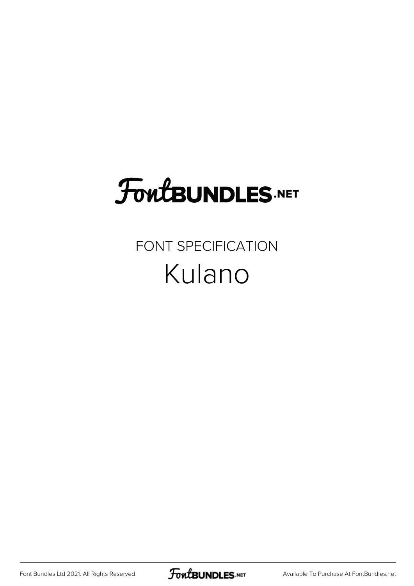# **FoutBUNDLES.NET**

## FONT SPECIFICATION Kulano

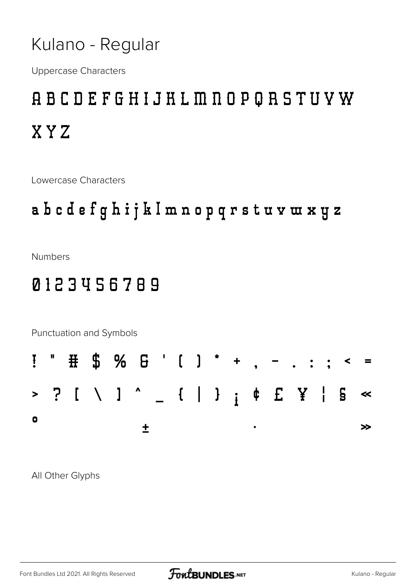#### Kulano - Regular

**Uppercase Characters** 

# **ABCDEFGHIJHLMNOPQRSTUVW** XYZ

Lowercase Characters

#### abcdefghijklmnopqrstuvwxyz

**Numbers** 

### 0123456789



All Other Glyphs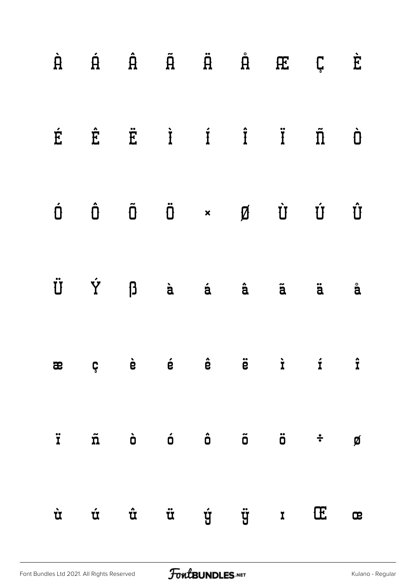|   |            |  |  | $\begin{array}{ccccccccccccccccc} \hat{H} & \hat{H} & \hat{H} & \hat{H} & \hat{H} & \hat{H} & \mathbb{E} & \mathbb{C} \end{array}$                                                                                                                                                                                                                                                   |              | È                  |
|---|------------|--|--|--------------------------------------------------------------------------------------------------------------------------------------------------------------------------------------------------------------------------------------------------------------------------------------------------------------------------------------------------------------------------------------|--------------|--------------------|
| É |            |  |  | $\hat{E}$ $\ddot{E}$ $\dot{I}$ $\dot{I}$ $\ddot{I}$ $\ddot{\Pi}$                                                                                                                                                                                                                                                                                                                     |              | $\dot{\mathbf{U}}$ |
|   |            |  |  | $\begin{matrix} \dot{\mathbf{D}} & \dot{\mathbf{D}} & \dot{\mathbf{D}} & \dot{\mathbf{D}} & \mathbf{A} & \dot{\mathbf{B}} & \dot{\mathbf{B}} \end{matrix} \qquad \begin{matrix} \dot{\mathbf{D}} & \dot{\mathbf{D}} & \dot{\mathbf{D}} & \dot{\mathbf{D}} \end{matrix} \qquad \begin{matrix} \dot{\mathbf{D}} & \dot{\mathbf{D}} & \dot{\mathbf{D}} & \dot{\mathbf{D}} \end{matrix}$ |              | Û                  |
| Ü | Ϋ́ β à á â |  |  | $\tilde{a}$                                                                                                                                                                                                                                                                                                                                                                          | ä            | $\ddot{a}$         |
|   |            |  |  | æçèé é ë ë i                                                                                                                                                                                                                                                                                                                                                                         |              | $\hat{\mathbf{r}}$ |
| Ï |            |  |  | $\tilde{n}$ à ó ô õ ö $\dot{\tilde{v}}$                                                                                                                                                                                                                                                                                                                                              |              | Ø                  |
| Ù | Ú          |  |  | <del>û</del> ü ý ÿ ː                                                                                                                                                                                                                                                                                                                                                                 | $\mathbb{E}$ | æ                  |